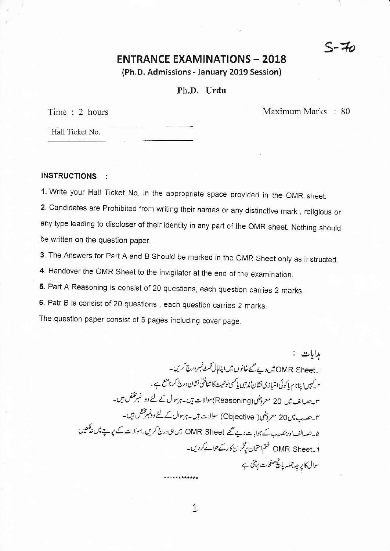### **ENTRANCE EXAMINATIONS - 2018**

(Ph.D. Admissions - January 2019 Session)

#### Ph.D. Urdu

Time: 2 hours

Maximum Marks : 80

Hall Ticket No.

#### **INSTRUCTIONS :**

1. Write your Hall Ticket No. in the appropriate space provided in the OMR sheet.

2. Candidates are Prohibited from writing their names or any distinctive mark, religious or any type leading to discloser of their identity in any part of the OMR sheet. Nothing should be written on the question paper.

3. The Answers for Part A and B Should be marked in the OMR Sheet only as instructed.

4. Handover the OMR Sheet to the invigilator at the end of the examination.

5. Part A Reasoning is consist of 20 questions, each question carries 2 marks.

6. Patr B is consist of 20 questions, each question carries 2 marks.

The question paper consist of 5 pages including cover page.

ہدایات : ا۔OMR Sheet میں دیے گئے خانوں میں اینامال ٹکٹ نمبر درج کریں۔ ٢ کہیں اپنانام پاکوئی امتیازی نشان نم<sup>وی</sup>ں پاکسی نوعیت کا شناختی نشان درج کرنامنع ہے۔ سو حصدالف میں 20 معروضی (Reasoning) سوالات ہیں۔ہرسوال کے لئے دو نمبرمختص ہیں۔ ۴۔حصہ ب میں 20 معروضی( Objective) سوالات ہیں۔ہرسوال کے لئے دونمبرمختص ہیں۔ ۵۔حصہ الف اور حصہ ب کے جوابات دیے گئے OMR Sheet میں ہی درج کریں۔سوالات کے پرچے میں نیکھیں OMR Sheet\_۲ ختم امتحان برنگران کار کے حوالے کردیں۔ سوال کا پر چہ جملہ پانچ صفحات پڑی ہے

\*\*\*\*\*\*\*\*\*\*\*\*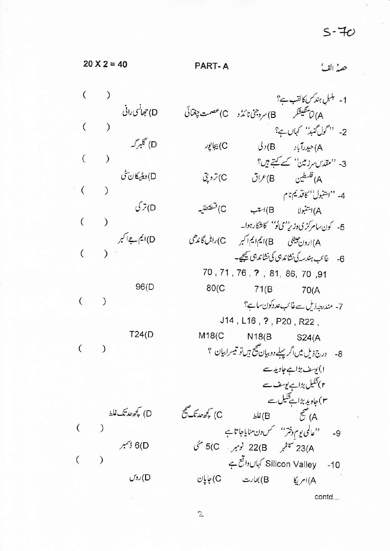$S-70$ 

| $20 X 2 = 40$    |                                                     | PART-A            | حصہُ الفُ                                   |                                                                                                       |
|------------------|-----------------------------------------------------|-------------------|---------------------------------------------|-------------------------------------------------------------------------------------------------------|
|                  |                                                     |                   |                                             |                                                                                                       |
|                  | D) جحانی رانی<br>( )<br>() گلبر <i>گه</i><br>( ) () |                   |                                             | 1- <sup>بلبل</sup> ہند سکالقب ہ <sup>ے؟</sup><br>A)لاسٹکیشکر B)سروجن نائڈو C) <sup>عص</sup> مت چغنائی |
|                  |                                                     |                   |                                             | 2- ''گول گنبڈ'' کہاں ہے؟                                                                              |
|                  |                                                     | C) بيجا پور       |                                             | A)حيدرآباد B) د ل                                                                                     |
|                  |                                                     |                   |                                             | 3- 'مقدس مرز مین' کے کہتے ہیں؟                                                                        |
|                  |                                                     | C) تروپٽي         |                                             |                                                                                                       |
|                  | اوینیے تاریخ<br>(<br>( )<br>( )                     |                   |                                             | 4- ''اشنبول'' کاقدیم نام                                                                              |
|                  |                                                     | C) قىطنطنىيە      |                                             | A)اشنبولا B)استب                                                                                      |
|                  |                                                     |                   |                                             | 5- كون سامركزي وزير بمي ٹوبم كاشكار ہوا۔                                                              |
|                  |                                                     |                   | A)ارون هیللی B)ایم ایم ایم کس C)راہل گاندھی |                                                                                                       |
|                  |                                                     |                   |                                             | 6- غائب ہندسہ کی نشاندہی کی نشاندہی کیجیے۔                                                            |
|                  |                                                     |                   | 70, 71, 76, ?, 81, 86, 70, 91               |                                                                                                       |
|                  | $\begin{pmatrix} 0 & 0 \\ 0 & 0 \end{pmatrix}$      |                   | 80(C 71(B 70(A                              |                                                                                                       |
|                  |                                                     |                   |                                             | 7- مندرجہ ذیل سے غائب عددکون ساہ؟                                                                     |
|                  |                                                     |                   | J14 , L16 , ? , P20 , R22 ,                 |                                                                                                       |
|                  | T24(D)                                              |                   | M18(C N18(B S24(A                           |                                                                                                       |
|                  | (                                                   |                   |                                             | 8- درج ذیل میں اگر پہلے دو بیان صحیح ہیں تو تیسر ابیان ؟                                              |
|                  |                                                     |                   |                                             | ا) یوسف بڑا ہے جاوید سے                                                                               |
|                  |                                                     |                   |                                             | r) شکیل بڑا ہے یوسف سے                                                                                |
|                  |                                                     |                   |                                             | ۳)جاوید بڑا ہے شکیل سے                                                                                |
|                  | D) پچھ حد تک غلط                                    | C) کچھ حد تک صحیح | A) صحیح ا                                   |                                                                                                       |
| $\overline{(\ }$ |                                                     |                   |                                             | 9- ''عالمی یوم دختر'' محس دن منایاجا تاہے                                                             |
|                  | 6(D ڈسمبر                                           |                   | 23(A سپینمبر 22(B نومبر ، 5) جمع متی        |                                                                                                       |
|                  |                                                     |                   |                                             | Silicon Valley -10 کہاں دائع ہے                                                                       |
|                  | D)روس                                               |                   | A)امریکا B)بھارت C)جایان                    |                                                                                                       |
|                  |                                                     |                   |                                             | contd                                                                                                 |

 $\mathbf{2}$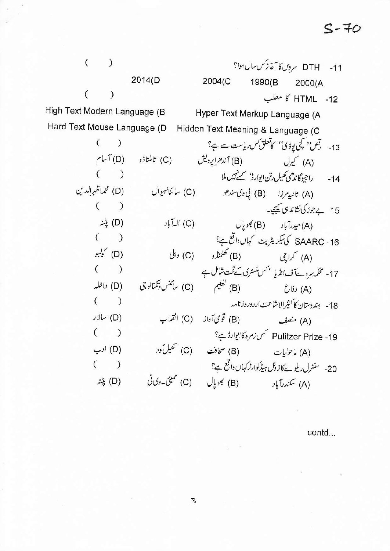## $S-70$

| $\overline{(\ }$                                              |               |                                                               |                                                 | 11- DTH سروس کا آغاز کس سال ہوا؟            |                              |  |  |
|---------------------------------------------------------------|---------------|---------------------------------------------------------------|-------------------------------------------------|---------------------------------------------|------------------------------|--|--|
|                                                               |               | 2014(D                                                        | 2004(C                                          | 1990(B 2000(A                               |                              |  |  |
| $\left($                                                      | $\mathcal{C}$ |                                                               |                                                 |                                             | HTML -12 کا مطلب             |  |  |
| High Text Modern Language (B                                  |               |                                                               | Hyper Text Markup Language (A                   |                                             |                              |  |  |
| Hard Text Mouse Language (D Hidden Text Meaning & Language (C |               |                                                               |                                                 |                                             |                              |  |  |
|                                                               | $($ )         |                                                               | 13- رقص'' کچی یوڈی'' کاتعلق س ریاست سے ہے؟      |                                             |                              |  |  |
|                                                               |               | (A) کیرل (B) آندھراپردیش (C) تاملناڈو (D) آسام                |                                                 |                                             |                              |  |  |
|                                                               | $($ )         |                                                               | $\mathcal{L}(\mathcal{L})$ .                    | 14- راجيوگاندھي ڪھيل رتن ايوارڈ' ڪينهيں ملا |                              |  |  |
|                                                               |               | (A) ثانيورزا (B) لي وك سندهو (C) ساكنانهوال (D) محمداظهرالدين |                                                 |                                             |                              |  |  |
|                                                               | (             |                                                               |                                                 |                                             | 15 بے جوڑ کی نشاند ہی کیجیے۔ |  |  |
|                                                               | (D) پٹنہ      |                                                               | (A) حيدرآباد (B) مجمويال (C) الدآباد            |                                             |                              |  |  |
|                                                               | $($ )         |                                                               | SAARC -16 کی سیکریٹریٹ کہاں واقع ہے؟            |                                             |                              |  |  |
|                                                               | (D) کوکبو     |                                                               | (A) کراچی (B) گھٹنڈو (C) دہلی                   |                                             |                              |  |  |
|                                                               | $($ $)$       |                                                               | 17- محکمہ سروےآف انڈیا محس منسٹری کےتحت شامل ہے |                                             |                              |  |  |
|                                                               | (D) داخله     | (C) سائنس وتکنالوجی                                           | (A) دفاع (B)                                    |                                             |                              |  |  |
|                                                               | $($ )         |                                                               |                                                 | 18- ہندوستان کا کثیرالاشاعت اردوروزنامہ     |                              |  |  |
|                                                               | JUL (D)       | (C) انقلاب                                                    | (A) منصف (B) قومی آواز                          |                                             |                              |  |  |
|                                                               | (             |                                                               | Pulitzer Prize -19 کس زمرہ کا ایوارڈ ہے؟        |                                             |                              |  |  |
|                                                               | (D) ادب       |                                                               | (A) ماحولیات (B) صحافت (C) تھیل کود             |                                             |                              |  |  |
|                                                               | $($ )         |                                                               | 20- سنٹرل ریلوے کازوٹل ہیڈکوارٹرکہاں واقع ہے؟   |                                             |                              |  |  |
|                                                               | (D) پٹنہ      |                                                               | (A) سكندرآباد (B) بحويال (C) ممبئيَ-وي في       |                                             |                              |  |  |

contd...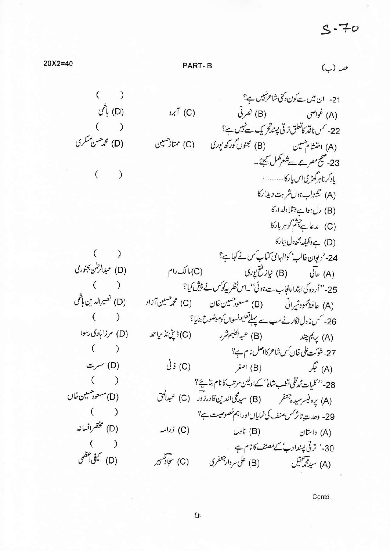$20X2 = 40$ 

ھہ (ب)

 $($ ) 21- ان میں سے کون دکنی شاعر نہیں ہے؟ (D) باشمی  $5.7$  (C)  $($ ) 22- کس ناقد کاتعلق ترقی پسندتحریک سے نہیں ہے؟ (D) محم<sup>صن عس</sup>كري (A) اختشام حسین (B) مجنوں گورکھ یوری (C) ممتاز حسین 23-معج مصر مع ہے شعر کھل کیجئے۔  $($ ) یادکرناهرگھڑیاں پارکا ............ (A) تشن<sup>ل</sup>ب ہوں شربت دیدارکا (B) دل ہوا ہے مبتلا دلداركا (C) مدعا ہے چشم گوہربارکا (D) جے وظیفہ بھے دل بیمار کا 24- 'دیوان غالب' کوالہامی کتاب کس نے کہاہے؟  $($ (D) عبدالرحلن بجنوري (A) حالی (B) نیاز فتح *یور*ی (C) ما لک رام 25-''اُردوکیا ہتدا پنجاب ہےہوئی''۔اس نظر پیکوکس نے پپش کیا؟  $($ ) (D) نصيرالدين باشي (A) حافظ محمود شیرانی (B) مسعود حسین خان (C) محمد حسین آزاد  $($   $)$ 26- کس ناول نگارنے سب سے پہلے تعلیم نسواں کوموضوع بنایا؟ (D) مرزابادی رسوا (A) پِیمَ چند (B) عبدالحکیم شرر (C) ڈپٹی نذیراحمد  $($ 27-شۇڭت يىلى خان ئىس شاعر كانىس نام ہے؟ (C) فانی (A) جگر (B) اصغر (D) حسرت  $($ .<br>28- '' كليات محمد قلى قطب شاه'' كےاولین مرتب كا نام بتائيج؟ (D) مسعود هسین خاں (A) يروفيسرسيده جعفر (B) سيدحى الدين قادرزور (C) عبدالحق  $($ 29- وحدتِ تاثر سَس صنف کی نمایاں اورا ہم خصوصیت ہے؟ (D) مخقرافسانه (A) داستان (B) ناول (C) ڈرامہ  $($   $)$ 30-' ترقی پیندادب'کے مصنف کانام ہے (D) کیفی اعظمی (A) سيد محمِشيل (B) على مردار جعفرى (C) سجاد طهير

Contd..